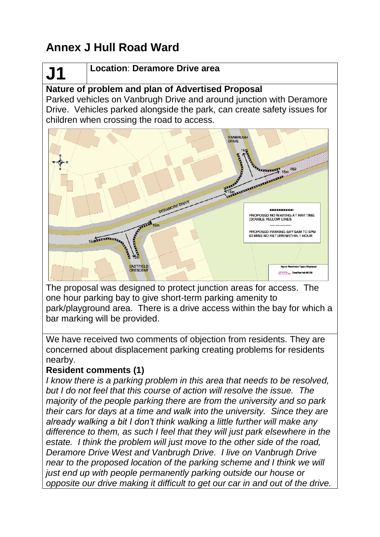# **Annex J Hull Road Ward**

# **J1**

## **Location**: **Deramore Drive area**

# **Nature of problem and plan of Advertised Proposal**

Parked vehicles on Vanbrugh Drive and around junction with Deramore Drive. Vehicles parked alongside the park, can create safety issues for children when crossing the road to access.



The proposal was designed to protect junction areas for access. The one hour parking bay to give short-term parking amenity to park/playground area. There is a drive access within the bay for which a bar marking will be provided.

We have received two comments of objection from residents. They are concerned about displacement parking creating problems for residents nearby.

#### **Resident comments (1)**

*I know there is a parking problem in this area that needs to be resolved. but I do not feel that this course of action will resolve the issue. The majority of the people parking there are from the university and so park their cars for days at a time and walk into the university. Since they are already walking a bit I don't think walking a little further will make any difference to them, as such I feel that they will just park elsewhere in the estate. I think the problem will just move to the other side of the road, Deramore Drive West and Vanbrugh Drive. I live on Vanbrugh Drive near to the proposed location of the parking scheme and I think we will just end up with people permanently parking outside our house or opposite our drive making it difficult to get our car in and out of the drive.*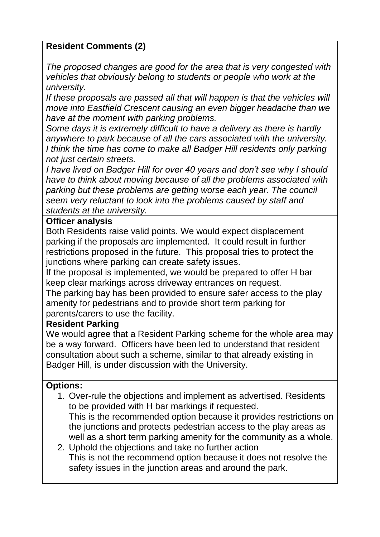### **Resident Comments (2)**

*The proposed changes are good for the area that is very congested with vehicles that obviously belong to students or people who work at the university.*

*If these proposals are passed all that will happen is that the vehicles will move into Eastfield Crescent causing an even bigger headache than we have at the moment with parking problems.*

*Some days it is extremely difficult to have a delivery as there is hardly anywhere to park because of all the cars associated with the university. I think the time has come to make all Badger Hill residents only parking not just certain streets.*

*I have lived on Badger Hill for over 40 years and don't see why I should have to think about moving because of all the problems associated with parking but these problems are getting worse each year. The council seem very reluctant to look into the problems caused by staff and students at the university.*

#### **Officer analysis**

Both Residents raise valid points. We would expect displacement parking if the proposals are implemented. It could result in further restrictions proposed in the future. This proposal tries to protect the junctions where parking can create safety issues.

If the proposal is implemented, we would be prepared to offer H bar keep clear markings across driveway entrances on request.

The parking bay has been provided to ensure safer access to the play amenity for pedestrians and to provide short term parking for parents/carers to use the facility.

#### **Resident Parking**

We would agree that a Resident Parking scheme for the whole area may be a way forward. Officers have been led to understand that resident consultation about such a scheme, similar to that already existing in Badger Hill, is under discussion with the University.

#### **Options:**

- 1. Over-rule the objections and implement as advertised. Residents to be provided with H bar markings if requested. This is the recommended option because it provides restrictions on the junctions and protects pedestrian access to the play areas as well as a short term parking amenity for the community as a whole.
- 2. Uphold the objections and take no further action This is not the recommend option because it does not resolve the safety issues in the junction areas and around the park.